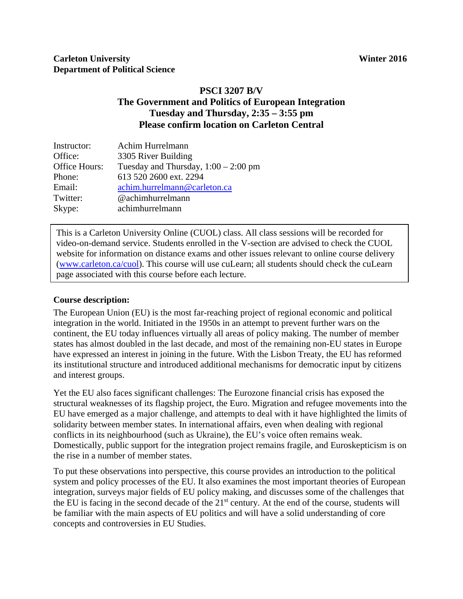## **PSCI 3207 B/V The Government and Politics of European Integration Tuesday and Thursday, 2:35 – 3:55 pm Please confirm location on Carleton Central**

| Instructor:   | Achim Hurrelmann                       |
|---------------|----------------------------------------|
| Office:       | 3305 River Building                    |
| Office Hours: | Tuesday and Thursday, $1:00 - 2:00$ pm |
| Phone:        | 613 520 2600 ext. 2294                 |
| Email:        | achim.hurrelmann@carleton.ca           |
| Twitter:      | @achimhurrelmann                       |
| Skype:        | achimhurrelmann                        |

This is a Carleton University Online (CUOL) class. All class sessions will be recorded for video-on-demand service. Students enrolled in the V-section are advised to check the CUOL website for information on distance exams and other issues relevant to online course delivery (www.carleton.ca/cuol). This course will use cuLearn; all students should check the cuLearn page associated with this course before each lecture.

## **Course description:**

The European Union (EU) is the most far-reaching project of regional economic and political integration in the world. Initiated in the 1950s in an attempt to prevent further wars on the continent, the EU today influences virtually all areas of policy making. The number of member states has almost doubled in the last decade, and most of the remaining non-EU states in Europe have expressed an interest in joining in the future. With the Lisbon Treaty, the EU has reformed its institutional structure and introduced additional mechanisms for democratic input by citizens and interest groups.

Yet the EU also faces significant challenges: The Eurozone financial crisis has exposed the structural weaknesses of its flagship project, the Euro. Migration and refugee movements into the EU have emerged as a major challenge, and attempts to deal with it have highlighted the limits of solidarity between member states. In international affairs, even when dealing with regional conflicts in its neighbourhood (such as Ukraine), the EU's voice often remains weak. Domestically, public support for the integration project remains fragile, and Euroskepticism is on the rise in a number of member states.

To put these observations into perspective, this course provides an introduction to the political system and policy processes of the EU. It also examines the most important theories of European integration, surveys major fields of EU policy making, and discusses some of the challenges that the EU is facing in the second decade of the 21<sup>st</sup> century. At the end of the course, students will be familiar with the main aspects of EU politics and will have a solid understanding of core concepts and controversies in EU Studies.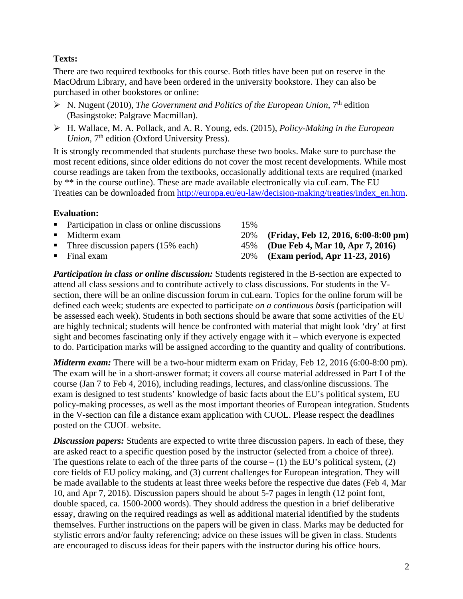## **Texts:**

There are two required textbooks for this course. Both titles have been put on reserve in the MacOdrum Library, and have been ordered in the university bookstore. They can also be purchased in other bookstores or online:

- $\triangleright$  N. Nugent (2010), *The Government and Politics of the European Union*, 7<sup>th</sup> edition (Basingstoke: Palgrave Macmillan).
- H. Wallace, M. A. Pollack, and A. R. Young, eds. (2015), *Policy-Making in the European Union*, 7<sup>th</sup> edition (Oxford University Press).

It is strongly recommended that students purchase these two books. Make sure to purchase the most recent editions, since older editions do not cover the most recent developments. While most course readings are taken from the textbooks, occasionally additional texts are required (marked by \*\* in the course outline). These are made available electronically via cuLearn. The EU Treaties can be downloaded from http://europa.eu/eu-law/decision-making/treaties/index\_en.htm.

## **Evaluation:**

| • Participation in class or online discussions    | 15% |                                          |
|---------------------------------------------------|-----|------------------------------------------|
| $\blacksquare$ Midterm exam                       |     | 20% (Friday, Feb 12, 2016, 6:00-8:00 pm) |
| $\blacksquare$ Three discussion papers (15% each) |     | 45% (Due Feb 4, Mar 10, Apr 7, 2016)     |
| $\blacksquare$ Final exam                         |     | 20% (Exam period, Apr 11-23, 2016)       |

*Participation in class or online discussion:* Students registered in the B-section are expected to attend all class sessions and to contribute actively to class discussions. For students in the Vsection, there will be an online discussion forum in cuLearn. Topics for the online forum will be defined each week; students are expected to participate *on a continuous basis* (participation will be assessed each week). Students in both sections should be aware that some activities of the EU are highly technical; students will hence be confronted with material that might look 'dry' at first sight and becomes fascinating only if they actively engage with it – which everyone is expected to do. Participation marks will be assigned according to the quantity and quality of contributions.

*Midterm exam:* There will be a two-hour midterm exam on Friday, Feb 12, 2016 (6:00-8:00 pm). The exam will be in a short-answer format; it covers all course material addressed in Part I of the course (Jan 7 to Feb 4, 2016), including readings, lectures, and class/online discussions. The exam is designed to test students' knowledge of basic facts about the EU's political system, EU policy-making processes, as well as the most important theories of European integration. Students in the V-section can file a distance exam application with CUOL. Please respect the deadlines posted on the CUOL website.

*Discussion papers:* Students are expected to write three discussion papers. In each of these, they are asked react to a specific question posed by the instructor (selected from a choice of three). The questions relate to each of the three parts of the course  $- (1)$  the EU's political system, (2) core fields of EU policy making, and (3) current challenges for European integration. They will be made available to the students at least three weeks before the respective due dates (Feb 4, Mar 10, and Apr 7, 2016). Discussion papers should be about 5-7 pages in length (12 point font, double spaced, ca. 1500-2000 words). They should address the question in a brief deliberative essay, drawing on the required readings as well as additional material identified by the students themselves. Further instructions on the papers will be given in class. Marks may be deducted for stylistic errors and/or faulty referencing; advice on these issues will be given in class. Students are encouraged to discuss ideas for their papers with the instructor during his office hours.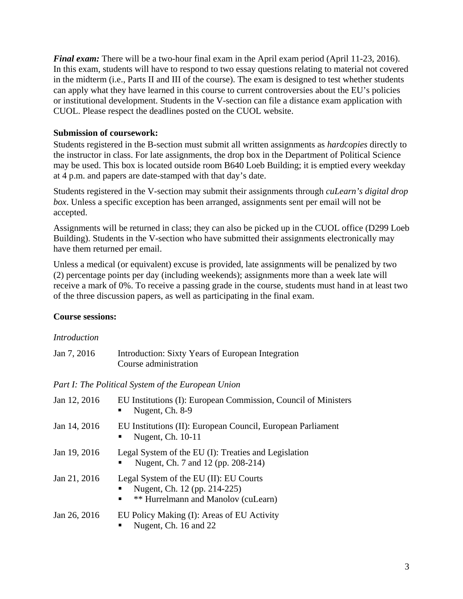*Final exam:* There will be a two-hour final exam in the April exam period (April 11-23, 2016). In this exam, students will have to respond to two essay questions relating to material not covered in the midterm (i.e., Parts II and III of the course). The exam is designed to test whether students can apply what they have learned in this course to current controversies about the EU's policies or institutional development. Students in the V-section can file a distance exam application with CUOL. Please respect the deadlines posted on the CUOL website.

## **Submission of coursework:**

Students registered in the B-section must submit all written assignments as *hardcopies* directly to the instructor in class. For late assignments, the drop box in the Department of Political Science may be used. This box is located outside room B640 Loeb Building; it is emptied every weekday at 4 p.m. and papers are date-stamped with that day's date.

Students registered in the V-section may submit their assignments through *cuLearn's digital drop box*. Unless a specific exception has been arranged, assignments sent per email will not be accepted.

Assignments will be returned in class; they can also be picked up in the CUOL office (D299 Loeb Building). Students in the V-section who have submitted their assignments electronically may have them returned per email.

Unless a medical (or equivalent) excuse is provided, late assignments will be penalized by two (2) percentage points per day (including weekends); assignments more than a week late will receive a mark of 0%. To receive a passing grade in the course, students must hand in at least two of the three discussion papers, as well as participating in the final exam.

#### **Course sessions:**

#### *Introduction*

| Jan 7, 2016  | Introduction: Sixty Years of European Integration<br>Course administration                                         |
|--------------|--------------------------------------------------------------------------------------------------------------------|
|              | Part I: The Political System of the European Union                                                                 |
| Jan 12, 2016 | EU Institutions (I): European Commission, Council of Ministers<br>Nugent, Ch. 8-9                                  |
| Jan 14, 2016 | EU Institutions (II): European Council, European Parliament<br>Nugent, Ch. 10-11                                   |
| Jan 19, 2016 | Legal System of the EU (I): Treaties and Legislation<br>Nugent, Ch. 7 and 12 (pp. 208-214)                         |
| Jan 21, 2016 | Legal System of the EU (II): EU Courts<br>Nugent, Ch. 12 (pp. 214-225)<br>** Hurrelmann and Manolov (cuLearn)<br>٠ |
| Jan 26, 2016 | EU Policy Making (I): Areas of EU Activity<br>Nugent, Ch. 16 and 22                                                |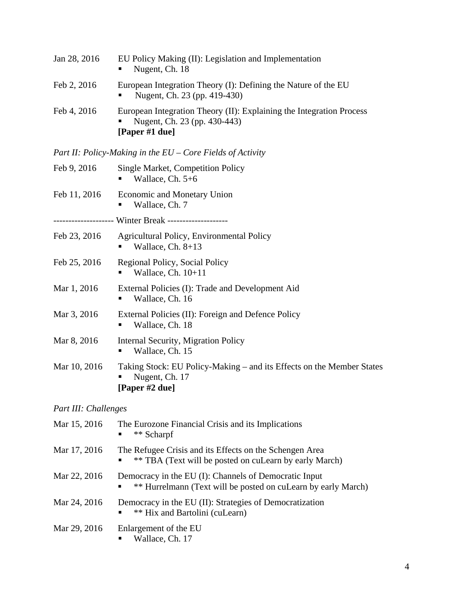| Jan 28, 2016 | EU Policy Making (II): Legislation and Implementation<br>Nugent, Ch. 18<br>$\blacksquare$                              |
|--------------|------------------------------------------------------------------------------------------------------------------------|
| Feb 2, 2016  | European Integration Theory (I): Defining the Nature of the EU<br>Nugent, Ch. 23 (pp. 419-430)                         |
| Feb 4, 2016  | European Integration Theory (II): Explaining the Integration Process<br>Nugent, Ch. 23 (pp. 430-443)<br>[Paper #1 due] |

*Part II: Policy-Making in the EU – Core Fields of Activity* 

| Feb 9, 2016  | Single Market, Competition Policy<br>Wallace, Ch. 5+6                                                     |
|--------------|-----------------------------------------------------------------------------------------------------------|
| Feb 11, 2016 | Economic and Monetary Union<br>Wallace, Ch. 7                                                             |
|              |                                                                                                           |
| Feb 23, 2016 | Agricultural Policy, Environmental Policy<br>Wallace, Ch. $8+13$                                          |
| Feb 25, 2016 | Regional Policy, Social Policy<br>Wallace, Ch. $10+11$                                                    |
| Mar 1, 2016  | External Policies (I): Trade and Development Aid<br>Wallace, Ch. 16                                       |
| Mar 3, 2016  | External Policies (II): Foreign and Defence Policy<br>Wallace, Ch. 18                                     |
| Mar 8, 2016  | Internal Security, Migration Policy<br>Wallace, Ch. 15                                                    |
| Mar 10, 2016 | Taking Stock: EU Policy-Making – and its Effects on the Member States<br>Nugent, Ch. 17<br>[Paper #2 due] |

# *Part III: Challenges*

| Mar 15, 2016 | The Eurozone Financial Crisis and its Implications<br>** Scharpf<br>٠                                                                    |
|--------------|------------------------------------------------------------------------------------------------------------------------------------------|
| Mar 17, 2016 | The Refugee Crisis and its Effects on the Schengen Area<br>** TBA (Text will be posted on cuLearn by early March)<br>$\blacksquare$      |
| Mar 22, 2016 | Democracy in the EU (I): Channels of Democratic Input<br>** Hurrelmann (Text will be posted on cuLearn by early March)<br>$\blacksquare$ |
| Mar 24, 2016 | Democracy in the EU (II): Strategies of Democratization<br>** Hix and Bartolini (cuLearn)<br>$\blacksquare$                              |
| Mar 29, 2016 | Enlargement of the EU<br>Wallace, Ch. 17<br>п                                                                                            |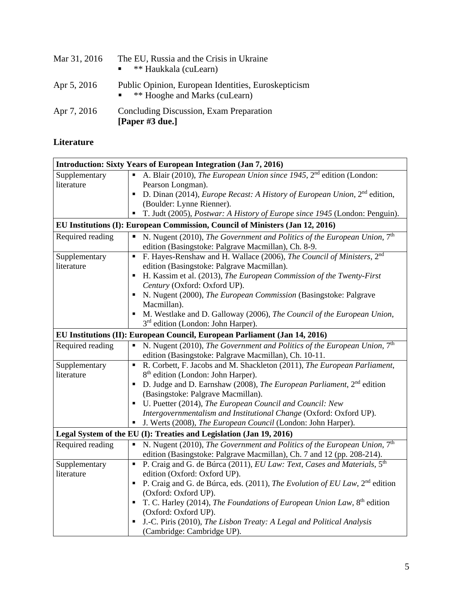| Mar 31, 2016 | The EU, Russia and the Crisis in Ukraine<br>** Haukkala (cuLearn)                                        |
|--------------|----------------------------------------------------------------------------------------------------------|
| Apr 5, 2016  | Public Opinion, European Identities, Euroskepticism<br>** Hooghe and Marks (cuLearn)<br>$\blacksquare$ . |
| Apr 7, 2016  | Concluding Discussion, Exam Preparation<br>[Paper $#3$ due.]                                             |

# **Literature**

| Introduction: Sixty Years of European Integration (Jan 7, 2016)     |                                                                                                       |  |
|---------------------------------------------------------------------|-------------------------------------------------------------------------------------------------------|--|
| Supplementary                                                       | A. Blair (2010), The European Union since 1945, 2 <sup>nd</sup> edition (London:                      |  |
| literature                                                          | Pearson Longman).                                                                                     |  |
|                                                                     | D. Dinan (2014), <i>Europe Recast: A History of European Union</i> , $2nd$ edition,                   |  |
|                                                                     | (Boulder: Lynne Rienner).                                                                             |  |
|                                                                     | T. Judt (2005), Postwar: A History of Europe since 1945 (London: Penguin).                            |  |
|                                                                     | EU Institutions (I): European Commission, Council of Ministers (Jan 12, 2016)                         |  |
| Required reading                                                    | N. Nugent (2010), The Government and Politics of the European Union, 7 <sup>th</sup><br>٠             |  |
|                                                                     | edition (Basingstoke: Palgrave Macmillan), Ch. 8-9.                                                   |  |
| Supplementary                                                       | F. Hayes-Renshaw and H. Wallace (2006), The Council of Ministers, 2nd<br>$\blacksquare$               |  |
| literature                                                          | edition (Basingstoke: Palgrave Macmillan).                                                            |  |
|                                                                     | H. Kassim et al. (2013), The European Commission of the Twenty-First                                  |  |
|                                                                     | Century (Oxford: Oxford UP).                                                                          |  |
|                                                                     | N. Nugent (2000), The European Commission (Basingstoke: Palgrave                                      |  |
|                                                                     | Macmillan).                                                                                           |  |
|                                                                     | M. Westlake and D. Galloway (2006), The Council of the European Union,                                |  |
|                                                                     | 3 <sup>rd</sup> edition (London: John Harper).                                                        |  |
|                                                                     | EU Institutions (II): European Council, European Parliament (Jan 14, 2016)                            |  |
| Required reading                                                    | N. Nugent (2010), The Government and Politics of the European Union, 7 <sup>th</sup>                  |  |
|                                                                     | edition (Basingstoke: Palgrave Macmillan), Ch. 10-11.                                                 |  |
| Supplementary                                                       | R. Corbett, F. Jacobs and M. Shackleton (2011), The European Parliament,                              |  |
| literature                                                          | 8 <sup>th</sup> edition (London: John Harper).                                                        |  |
|                                                                     | D. Judge and D. Earnshaw (2008), The European Parliament, $2nd$ edition                               |  |
|                                                                     | (Basingstoke: Palgrave Macmillan).                                                                    |  |
|                                                                     | U. Puetter (2014), The European Council and Council: New<br>٠                                         |  |
|                                                                     | Intergovernmentalism and Institutional Change (Oxford: Oxford UP).                                    |  |
|                                                                     | • J. Werts (2008), The European Council (London: John Harper).                                        |  |
| Legal System of the EU (I): Treaties and Legislation (Jan 19, 2016) |                                                                                                       |  |
| Required reading                                                    | N. Nugent (2010), The Government and Politics of the European Union, $7th$<br>$\blacksquare$          |  |
|                                                                     | edition (Basingstoke: Palgrave Macmillan), Ch. 7 and 12 (pp. 208-214).                                |  |
| Supplementary                                                       | P. Craig and G. de Búrca (2011), EU Law: Text, Cases and Materials, 5 <sup>th</sup><br>$\blacksquare$ |  |
| literature                                                          | edition (Oxford: Oxford UP).                                                                          |  |
|                                                                     | P. Craig and G. de Búrca, eds. (2011), The Evolution of EU Law, $2nd$ edition                         |  |
|                                                                     | (Oxford: Oxford UP).                                                                                  |  |
|                                                                     | T. C. Harley (2014), The Foundations of European Union Law, 8th edition                               |  |
|                                                                     | (Oxford: Oxford UP).                                                                                  |  |
|                                                                     | J.-C. Piris (2010), The Lisbon Treaty: A Legal and Political Analysis                                 |  |
|                                                                     | (Cambridge: Cambridge UP).                                                                            |  |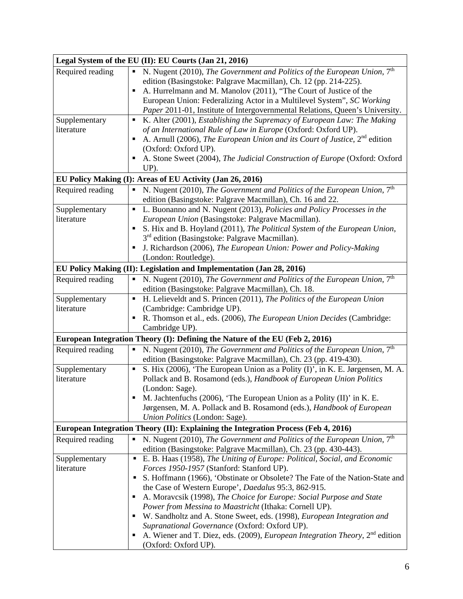| Legal System of the EU (II): EU Courts (Jan 21, 2016) |                                                                                                                                                                                    |  |
|-------------------------------------------------------|------------------------------------------------------------------------------------------------------------------------------------------------------------------------------------|--|
| Required reading                                      | N. Nugent (2010), The Government and Politics of the European Union, $7th$<br>$\blacksquare$                                                                                       |  |
|                                                       | edition (Basingstoke: Palgrave Macmillan), Ch. 12 (pp. 214-225).                                                                                                                   |  |
|                                                       | A. Hurrelmann and M. Manolov (2011), "The Court of Justice of the<br>European Union: Federalizing Actor in a Multilevel System", SC Working                                        |  |
|                                                       | Paper 2011-01, Institute of Intergovernmental Relations, Queen's University.                                                                                                       |  |
| Supplementary                                         | K. Alter (2001), Establishing the Supremacy of European Law: The Making<br>$\blacksquare$                                                                                          |  |
| literature                                            | of an International Rule of Law in Europe (Oxford: Oxford UP).                                                                                                                     |  |
|                                                       | A. Arnull (2006), The European Union and its Court of Justice, $2nd$ edition                                                                                                       |  |
|                                                       | (Oxford: Oxford UP).                                                                                                                                                               |  |
|                                                       | A. Stone Sweet (2004), The Judicial Construction of Europe (Oxford: Oxford                                                                                                         |  |
|                                                       | UP).                                                                                                                                                                               |  |
|                                                       | EU Policy Making (I): Areas of EU Activity (Jan 26, 2016)                                                                                                                          |  |
| Required reading                                      | N. Nugent (2010), The Government and Politics of the European Union, $7th$<br>$\blacksquare$<br>edition (Basingstoke: Palgrave Macmillan), Ch. 16 and 22.                          |  |
| Supplementary                                         | L. Buonanno and N. Nugent (2013), Policies and Policy Processes in the<br>٠                                                                                                        |  |
| literature                                            | European Union (Basingstoke: Palgrave Macmillan).                                                                                                                                  |  |
|                                                       | S. Hix and B. Hoyland (2011), The Political System of the European Union,                                                                                                          |  |
|                                                       | 3 <sup>rd</sup> edition (Basingstoke: Palgrave Macmillan).                                                                                                                         |  |
|                                                       | J. Richardson (2006), The European Union: Power and Policy-Making                                                                                                                  |  |
|                                                       | (London: Routledge).                                                                                                                                                               |  |
|                                                       | EU Policy Making (II): Legislation and Implementation (Jan 28, 2016)                                                                                                               |  |
| Required reading                                      | N. Nugent (2010), The Government and Politics of the European Union, $7th$                                                                                                         |  |
|                                                       | edition (Basingstoke: Palgrave Macmillan), Ch. 18.                                                                                                                                 |  |
| Supplementary                                         | $\blacksquare$<br>H. Lelieveldt and S. Princen (2011), The Politics of the European Union                                                                                          |  |
| literature                                            | (Cambridge: Cambridge UP).                                                                                                                                                         |  |
|                                                       | R. Thomson et al., eds. (2006), The European Union Decides (Cambridge:                                                                                                             |  |
|                                                       | Cambridge UP).<br>European Integration Theory (I): Defining the Nature of the EU (Feb 2, 2016)                                                                                     |  |
| Required reading                                      | N. Nugent (2010), The Government and Politics of the European Union, 7 <sup>th</sup>                                                                                               |  |
|                                                       | edition (Basingstoke: Palgrave Macmillan), Ch. 23 (pp. 419-430).                                                                                                                   |  |
| Supplementary                                         | S. Hix (2006), 'The European Union as a Polity (I)', in K. E. Jørgensen, M. A.                                                                                                     |  |
| literature                                            | Pollack and B. Rosamond (eds.), Handbook of European Union Politics                                                                                                                |  |
|                                                       | (London: Sage).                                                                                                                                                                    |  |
|                                                       | M. Jachtenfuchs (2006), 'The European Union as a Polity (II)' in K. E.                                                                                                             |  |
|                                                       | Jørgensen, M. A. Pollack and B. Rosamond (eds.), Handbook of European                                                                                                              |  |
|                                                       | Union Politics (London: Sage).                                                                                                                                                     |  |
|                                                       | European Integration Theory (II): Explaining the Integration Process (Feb 4, 2016)<br>N. Nugent (2010), The Government and Politics of the European Union, $7th$<br>$\blacksquare$ |  |
| Required reading                                      | edition (Basingstoke: Palgrave Macmillan), Ch. 23 (pp. 430-443).                                                                                                                   |  |
| Supplementary                                         | E. B. Haas (1958), The Uniting of Europe: Political, Social, and Economic                                                                                                          |  |
| literature                                            | Forces 1950-1957 (Stanford: Stanford UP).                                                                                                                                          |  |
|                                                       | S. Hoffmann (1966), 'Obstinate or Obsolete? The Fate of the Nation-State and                                                                                                       |  |
|                                                       | the Case of Western Europe', Daedalus 95:3, 862-915.                                                                                                                               |  |
|                                                       | A. Moravcsik (1998), The Choice for Europe: Social Purpose and State                                                                                                               |  |
|                                                       | Power from Messina to Maastricht (Ithaka: Cornell UP).                                                                                                                             |  |
|                                                       | W. Sandholtz and A. Stone Sweet, eds. (1998), European Integration and                                                                                                             |  |
|                                                       | Supranational Governance (Oxford: Oxford UP).<br>A. Wiener and T. Diez, eds. (2009), <i>European Integration Theory</i> , 2 <sup>nd</sup> edition                                  |  |
|                                                       | (Oxford: Oxford UP).                                                                                                                                                               |  |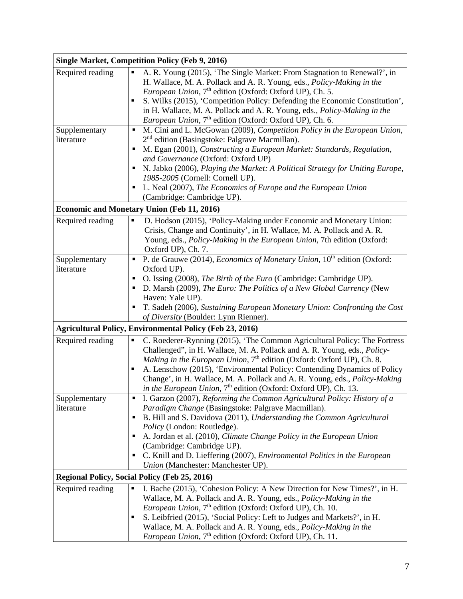| <b>Single Market, Competition Policy (Feb 9, 2016)</b> |                                                                                                                                                                                                                                                                                                                                                                                                                                                                                                       |  |
|--------------------------------------------------------|-------------------------------------------------------------------------------------------------------------------------------------------------------------------------------------------------------------------------------------------------------------------------------------------------------------------------------------------------------------------------------------------------------------------------------------------------------------------------------------------------------|--|
| Required reading                                       | A. R. Young (2015), 'The Single Market: From Stagnation to Renewal?', in<br>Ξ<br>H. Wallace, M. A. Pollack and A. R. Young, eds., Policy-Making in the<br><i>European Union</i> , 7 <sup>th</sup> edition (Oxford: Oxford UP), Ch. 5.<br>S. Wilks (2015), 'Competition Policy: Defending the Economic Constitution',<br>Ξ<br>in H. Wallace, M. A. Pollack and A. R. Young, eds., <i>Policy-Making in the</i><br>European Union, 7 <sup>th</sup> edition (Oxford: Oxford UP), Ch. 6.                   |  |
| Supplementary<br>literature                            | M. Cini and L. McGowan (2009), Competition Policy in the European Union,<br>$\blacksquare$<br>2 <sup>nd</sup> edition (Basingstoke: Palgrave Macmillan).<br>M. Egan (2001), Constructing a European Market: Standards, Regulation,<br>and Governance (Oxford: Oxford UP)<br>N. Jabko (2006), Playing the Market: A Political Strategy for Uniting Europe,<br>1985-2005 (Cornell: Cornell UP).<br>L. Neal (2007), The Economics of Europe and the European Union<br>٠<br>(Cambridge: Cambridge UP).    |  |
|                                                        | <b>Economic and Monetary Union (Feb 11, 2016)</b>                                                                                                                                                                                                                                                                                                                                                                                                                                                     |  |
| Required reading                                       | D. Hodson (2015), 'Policy-Making under Economic and Monetary Union:<br>٠<br>Crisis, Change and Continuity', in H. Wallace, M. A. Pollack and A. R.<br>Young, eds., Policy-Making in the European Union, 7th edition (Oxford:<br>Oxford UP), Ch. 7.                                                                                                                                                                                                                                                    |  |
| Supplementary<br>literature                            | P. de Grauwe (2014), Economics of Monetary Union, 10 <sup>th</sup> edition (Oxford:<br>٠<br>Oxford UP).<br>O. Issing (2008), The Birth of the Euro (Cambridge: Cambridge UP).<br>D. Marsh (2009), The Euro: The Politics of a New Global Currency (New<br>Haven: Yale UP).<br>T. Sadeh (2006), Sustaining European Monetary Union: Confronting the Cost<br>of Diversity (Boulder: Lynn Rienner).                                                                                                      |  |
|                                                        | <b>Agricultural Policy, Environmental Policy (Feb 23, 2016)</b>                                                                                                                                                                                                                                                                                                                                                                                                                                       |  |
| Required reading                                       | C. Roederer-Rynning (2015), 'The Common Agricultural Policy: The Fortress<br>٠<br>Challenged", in H. Wallace, M. A. Pollack and A. R. Young, eds., <i>Policy</i> -<br>Making in the European Union, 7 <sup>th</sup> edition (Oxford: Oxford UP), Ch. 8.<br>A. Lenschow (2015), 'Environmental Policy: Contending Dynamics of Policy<br>П<br>Change', in H. Wallace, M. A. Pollack and A. R. Young, eds., Policy-Making<br>in the European Union, 7 <sup>th</sup> edition (Oxford: Oxford UP), Ch. 13. |  |
| Supplementary<br>literature                            | I. Garzon (2007), Reforming the Common Agricultural Policy: History of a<br>Paradigm Change (Basingstoke: Palgrave Macmillan).<br>B. Hill and S. Davidova (2011), Understanding the Common Agricultural<br>Policy (London: Routledge).<br>A. Jordan et al. (2010), Climate Change Policy in the European Union<br>(Cambridge: Cambridge UP).<br>C. Knill and D. Lieffering (2007), Environmental Politics in the European<br>Union (Manchester: Manchester UP).                                       |  |
|                                                        | <b>Regional Policy, Social Policy (Feb 25, 2016)</b>                                                                                                                                                                                                                                                                                                                                                                                                                                                  |  |
| Required reading                                       | I. Bache (2015), 'Cohesion Policy: A New Direction for New Times?', in H.<br>п<br>Wallace, M. A. Pollack and A. R. Young, eds., Policy-Making in the<br>European Union, 7 <sup>th</sup> edition (Oxford: Oxford UP), Ch. 10.<br>S. Leibfried (2015), 'Social Policy: Left to Judges and Markets?', in H.<br>Wallace, M. A. Pollack and A. R. Young, eds., Policy-Making in the<br><i>European Union</i> , 7 <sup>th</sup> edition (Oxford: Oxford UP), Ch. 11.                                        |  |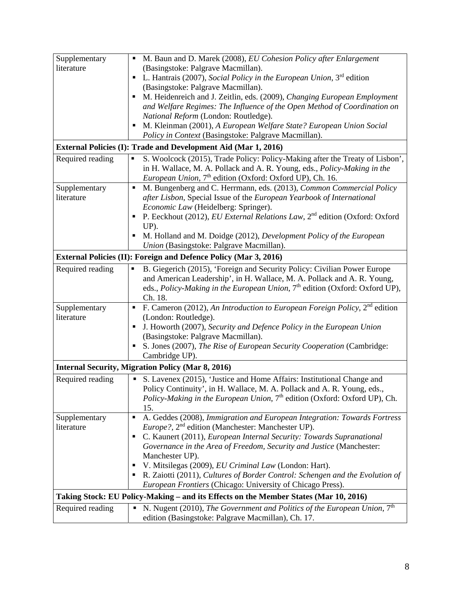| Supplementary                                                                        | M. Baun and D. Marek (2008), EU Cohesion Policy after Enlargement                                                              |  |
|--------------------------------------------------------------------------------------|--------------------------------------------------------------------------------------------------------------------------------|--|
| literature                                                                           | (Basingstoke: Palgrave Macmillan).                                                                                             |  |
|                                                                                      | L. Hantrais (2007), Social Policy in the European Union, $3rd$ edition                                                         |  |
|                                                                                      | (Basingstoke: Palgrave Macmillan).                                                                                             |  |
|                                                                                      | M. Heidenreich and J. Zeitlin, eds. (2009), Changing European Employment                                                       |  |
|                                                                                      | and Welfare Regimes: The Influence of the Open Method of Coordination on                                                       |  |
|                                                                                      | National Reform (London: Routledge).                                                                                           |  |
|                                                                                      | M. Kleinman (2001), A European Welfare State? European Union Social<br>٠                                                       |  |
|                                                                                      | Policy in Context (Basingstoke: Palgrave Macmillan).                                                                           |  |
|                                                                                      | <b>External Policies (I): Trade and Development Aid (Mar 1, 2016)</b>                                                          |  |
| Required reading                                                                     | S. Woolcock (2015), Trade Policy: Policy-Making after the Treaty of Lisbon',                                                   |  |
|                                                                                      | in H. Wallace, M. A. Pollack and A. R. Young, eds., Policy-Making in the                                                       |  |
|                                                                                      | European Union, 7 <sup>th</sup> edition (Oxford: Oxford UP), Ch. 16.                                                           |  |
| Supplementary                                                                        | M. Bungenberg and C. Herrmann, eds. (2013), Common Commercial Policy                                                           |  |
| literature                                                                           | after Lisbon, Special Issue of the European Yearbook of International                                                          |  |
|                                                                                      | Economic Law (Heidelberg: Springer).                                                                                           |  |
|                                                                                      | P. Eeckhout (2012), EU External Relations Law, 2 <sup>nd</sup> edition (Oxford: Oxford                                         |  |
|                                                                                      | UP).                                                                                                                           |  |
|                                                                                      | M. Holland and M. Doidge (2012), Development Policy of the European                                                            |  |
|                                                                                      | Union (Basingstoke: Palgrave Macmillan).                                                                                       |  |
|                                                                                      | <b>External Policies (II): Foreign and Defence Policy (Mar 3, 2016)</b>                                                        |  |
| Required reading                                                                     | B. Giegerich (2015), 'Foreign and Security Policy: Civilian Power Europe<br>٠                                                  |  |
|                                                                                      | and American Leadership', in H. Wallace, M. A. Pollack and A. R. Young,                                                        |  |
|                                                                                      | eds., Policy-Making in the European Union, $7th$ edition (Oxford: Oxford UP),                                                  |  |
|                                                                                      | Ch. 18.                                                                                                                        |  |
| Supplementary                                                                        | • F. Cameron (2012), An Introduction to European Foreign Policy, $2nd$ edition                                                 |  |
| literature                                                                           | (London: Routledge).                                                                                                           |  |
|                                                                                      | J. Howorth (2007), Security and Defence Policy in the European Union                                                           |  |
|                                                                                      | (Basingstoke: Palgrave Macmillan).<br>S. Jones (2007), The Rise of European Security Cooperation (Cambridge:<br>$\blacksquare$ |  |
|                                                                                      | Cambridge UP).                                                                                                                 |  |
|                                                                                      | <b>Internal Security, Migration Policy (Mar 8, 2016)</b>                                                                       |  |
| Required reading                                                                     | S. Lavenex (2015), 'Justice and Home Affairs: Institutional Change and                                                         |  |
|                                                                                      | Policy Continuity', in H. Wallace, M. A. Pollack and A. R. Young, eds.,                                                        |  |
|                                                                                      | Policy-Making in the European Union, 7 <sup>th</sup> edition (Oxford: Oxford UP), Ch.                                          |  |
|                                                                                      | 15.                                                                                                                            |  |
| Supplementary                                                                        | A. Geddes (2008), Immigration and European Integration: Towards Fortress<br>$\blacksquare$                                     |  |
| literature                                                                           | <i>Europe?</i> , 2 <sup>nd</sup> edition (Manchester: Manchester UP).                                                          |  |
|                                                                                      | C. Kaunert (2011), European Internal Security: Towards Supranational<br>٠                                                      |  |
|                                                                                      | Governance in the Area of Freedom, Security and Justice (Manchester:                                                           |  |
|                                                                                      | Manchester UP).                                                                                                                |  |
|                                                                                      | V. Mitsilegas (2009), <i>EU Criminal Law</i> (London: Hart).                                                                   |  |
|                                                                                      | R. Zaiotti (2011), Cultures of Border Control: Schengen and the Evolution of<br>п                                              |  |
|                                                                                      | European Frontiers (Chicago: University of Chicago Press).                                                                     |  |
| Taking Stock: EU Policy-Making – and its Effects on the Member States (Mar 10, 2016) |                                                                                                                                |  |
| Required reading                                                                     | N. Nugent (2010), The Government and Politics of the European Union, $7th$                                                     |  |
|                                                                                      | edition (Basingstoke: Palgrave Macmillan), Ch. 17.                                                                             |  |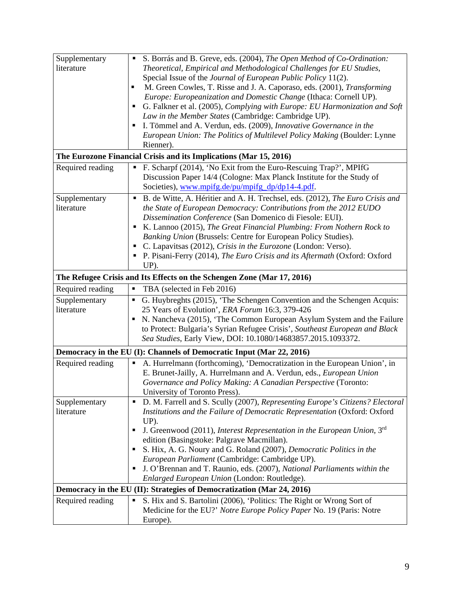| Supplementary    | S. Borrás and B. Greve, eds. (2004), The Open Method of Co-Ordination:                     |
|------------------|--------------------------------------------------------------------------------------------|
| literature       | Theoretical, Empirical and Methodological Challenges for EU Studies,                       |
|                  | Special Issue of the Journal of European Public Policy 11(2).                              |
|                  | M. Green Cowles, T. Risse and J. A. Caporaso, eds. (2001), Transforming                    |
|                  | Europe: Europeanization and Domestic Change (Ithaca: Cornell UP).                          |
|                  | G. Falkner et al. (2005), Complying with Europe: EU Harmonization and Soft                 |
|                  | Law in the Member States (Cambridge: Cambridge UP).                                        |
|                  | I. Tömmel and A. Verdun, eds. (2009), Innovative Governance in the                         |
|                  | European Union: The Politics of Multilevel Policy Making (Boulder: Lynne                   |
|                  | Rienner).                                                                                  |
|                  | The Eurozone Financial Crisis and its Implications (Mar 15, 2016)                          |
| Required reading | • F. Scharpf (2014), 'No Exit from the Euro-Rescuing Trap?', MPIfG                         |
|                  | Discussion Paper 14/4 (Cologne: Max Planck Institute for the Study of                      |
|                  | Societies), www.mpifg.de/pu/mpifg_dp/dp14-4.pdf.                                           |
| Supplementary    | B. de Witte, A. Héritier and A. H. Trechsel, eds. (2012), The Euro Crisis and<br>٠         |
| literature       | the State of European Democracy: Contributions from the 2012 EUDO                          |
|                  | Dissemination Conference (San Domenico di Fiesole: EUI).                                   |
|                  | K. Lannoo (2015), The Great Financial Plumbing: From Nothern Rock to<br>٠                  |
|                  | Banking Union (Brussels: Centre for European Policy Studies).                              |
|                  | C. Lapavitsas (2012), Crisis in the Eurozone (London: Verso).                              |
|                  | P. Pisani-Ferry (2014), The Euro Crisis and its Aftermath (Oxford: Oxford                  |
|                  | UP).                                                                                       |
|                  | The Refugee Crisis and Its Effects on the Schengen Zone (Mar 17, 2016)                     |
| Required reading | TBA (selected in Feb 2016)<br>٠                                                            |
| Supplementary    | G. Huybreghts (2015), 'The Schengen Convention and the Schengen Acquis:<br>п.              |
| literature       | 25 Years of Evolution', ERA Forum 16:3, 379-426                                            |
|                  | N. Nancheva (2015), 'The Common European Asylum System and the Failure                     |
|                  | to Protect: Bulgaria's Syrian Refugee Crisis', Southeast European and Black                |
|                  | Sea Studies, Early View, DOI: 10.1080/14683857.2015.1093372.                               |
|                  | Democracy in the EU (I): Channels of Democratic Input (Mar 22, 2016)                       |
| Required reading | A. Hurrelmann (forthcoming), 'Democratization in the European Union', in<br>$\blacksquare$ |
|                  | E. Brunet-Jailly, A. Hurrelmann and A. Verdun, eds., European Union                        |
|                  | Governance and Policy Making: A Canadian Perspective (Toronto:                             |
|                  | University of Toronto Press).                                                              |
| Supplementary    | D. M. Farrell and S. Scully (2007), Representing Europe's Citizens? Electoral              |
| literature       | Institutions and the Failure of Democratic Representation (Oxford: Oxford                  |
|                  | $UP$ ).                                                                                    |
|                  | J. Greenwood (2011), Interest Representation in the European Union, $3rd$                  |
|                  | edition (Basingstoke: Palgrave Macmillan).                                                 |
|                  | S. Hix, A. G. Noury and G. Roland (2007), Democratic Politics in the                       |
|                  | European Parliament (Cambridge: Cambridge UP).                                             |
|                  | J. O'Brennan and T. Raunio, eds. (2007), National Parliaments within the                   |
|                  | Enlarged European Union (London: Routledge).                                               |
|                  | Democracy in the EU (II): Strategies of Democratization (Mar 24, 2016)                     |
| Required reading | S. Hix and S. Bartolini (2006), 'Politics: The Right or Wrong Sort of<br>٠                 |
|                  | Medicine for the EU?' Notre Europe Policy Paper No. 19 (Paris: Notre                       |
|                  | Europe).                                                                                   |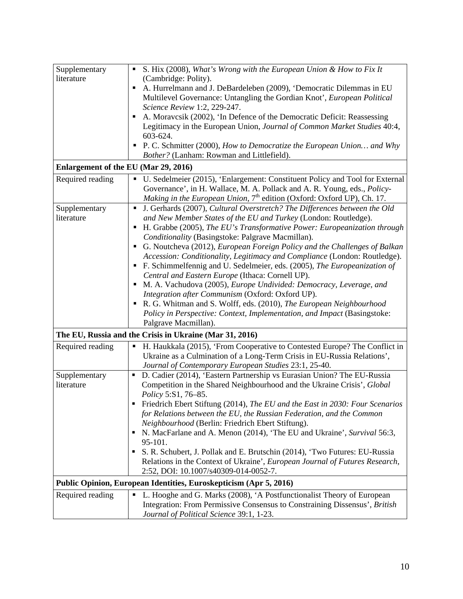| Supplementary<br>literature | S. Hix (2008), What's Wrong with the European Union & How to Fix It<br>(Cambridge: Polity).<br>A. Hurrelmann and J. DeBardeleben (2009), 'Democratic Dilemmas in EU<br>$\blacksquare$<br>Multilevel Governance: Untangling the Gordian Knot', European Political<br>Science Review 1:2, 229-247.<br>A. Moravcsik (2002), 'In Defence of the Democratic Deficit: Reassessing<br>Legitimacy in the European Union, Journal of Common Market Studies 40:4,<br>603-624.<br>• P. C. Schmitter (2000), How to Democratize the European Union and Why<br>Bother? (Lanham: Rowman and Littlefield).                                                                                                                                                                                                                                                                                               |
|-----------------------------|-------------------------------------------------------------------------------------------------------------------------------------------------------------------------------------------------------------------------------------------------------------------------------------------------------------------------------------------------------------------------------------------------------------------------------------------------------------------------------------------------------------------------------------------------------------------------------------------------------------------------------------------------------------------------------------------------------------------------------------------------------------------------------------------------------------------------------------------------------------------------------------------|
|                             | Enlargement of the EU (Mar 29, 2016)                                                                                                                                                                                                                                                                                                                                                                                                                                                                                                                                                                                                                                                                                                                                                                                                                                                      |
| Required reading            | • U. Sedelmeier (2015), 'Enlargement: Constituent Policy and Tool for External<br>Governance', in H. Wallace, M. A. Pollack and A. R. Young, eds., Policy-<br>Making in the European Union, 7 <sup>th</sup> edition (Oxford: Oxford UP), Ch. 17.                                                                                                                                                                                                                                                                                                                                                                                                                                                                                                                                                                                                                                          |
| Supplementary<br>literature | J. Gerhards (2007), Cultural Overstretch? The Differences between the Old<br>٠<br>and New Member States of the EU and Turkey (London: Routledge).<br>• H. Grabbe (2005), The EU's Transformative Power: Europeanization through<br>Conditionality (Basingstoke: Palgrave Macmillan).<br>• G. Noutcheva (2012), European Foreign Policy and the Challenges of Balkan<br>Accession: Conditionality, Legitimacy and Compliance (London: Routledge).<br>• F. Schimmelfennig and U. Sedelmeier, eds. (2005), The Europeanization of<br>Central and Eastern Europe (Ithaca: Cornell UP).<br>• M. A. Vachudova (2005), Europe Undivided: Democracy, Leverage, and<br>Integration after Communism (Oxford: Oxford UP).<br>R. G. Whitman and S. Wolff, eds. (2010), The European Neighbourhood<br>Policy in Perspective: Context, Implementation, and Impact (Basingstoke:<br>Palgrave Macmillan). |
|                             | The EU, Russia and the Crisis in Ukraine (Mar 31, 2016)                                                                                                                                                                                                                                                                                                                                                                                                                                                                                                                                                                                                                                                                                                                                                                                                                                   |
| Required reading            | H. Haukkala (2015), 'From Cooperative to Contested Europe? The Conflict in<br>٠<br>Ukraine as a Culmination of a Long-Term Crisis in EU-Russia Relations',<br>Journal of Contemporary European Studies 23:1, 25-40.                                                                                                                                                                                                                                                                                                                                                                                                                                                                                                                                                                                                                                                                       |
| Supplementary<br>literature | D. Cadier (2014), 'Eastern Partnership vs Eurasian Union? The EU-Russia<br>Competition in the Shared Neighbourhood and the Ukraine Crisis', Global<br>Policy 5:S1, 76-85.<br>Friedrich Ebert Stiftung (2014), The EU and the East in 2030: Four Scenarios<br>for Relations between the EU, the Russian Federation, and the Common<br>Neighbourhood (Berlin: Friedrich Ebert Stiftung).<br>• N. MacFarlane and A. Menon (2014), 'The EU and Ukraine', Survival 56:3,<br>95-101.<br>S. R. Schubert, J. Pollak and E. Brutschin (2014), 'Two Futures: EU-Russia<br>Relations in the Context of Ukraine', European Journal of Futures Research,<br>2:52, DOI: 10.1007/s40309-014-0052-7.                                                                                                                                                                                                      |
|                             | Public Opinion, European Identities, Euroskepticism (Apr 5, 2016)                                                                                                                                                                                                                                                                                                                                                                                                                                                                                                                                                                                                                                                                                                                                                                                                                         |
| Required reading            | L. Hooghe and G. Marks (2008), 'A Postfunctionalist Theory of European<br>Integration: From Permissive Consensus to Constraining Dissensus', British<br>Journal of Political Science 39:1, 1-23.                                                                                                                                                                                                                                                                                                                                                                                                                                                                                                                                                                                                                                                                                          |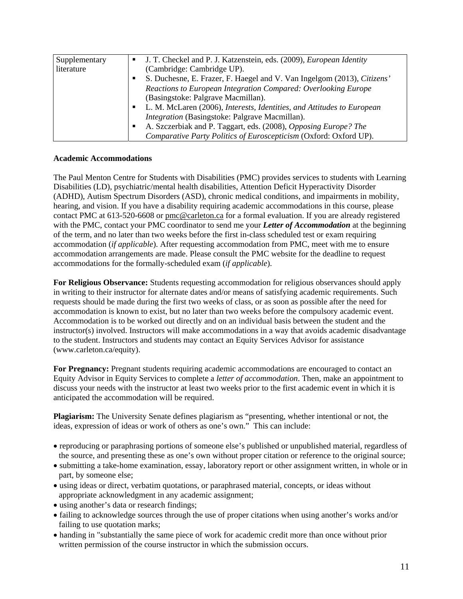| Supplementary | J. T. Checkel and P. J. Katzenstein, eds. (2009), <i>European Identity</i> |  |  |  |  |
|---------------|----------------------------------------------------------------------------|--|--|--|--|
| literature    | (Cambridge: Cambridge UP).                                                 |  |  |  |  |
|               | S. Duchesne, E. Frazer, F. Haegel and V. Van Ingelgom (2013), Citizens'    |  |  |  |  |
|               | Reactions to European Integration Compared: Overlooking Europe             |  |  |  |  |
|               | (Basingstoke: Palgrave Macmillan).                                         |  |  |  |  |
|               | • L. M. McLaren (2006), Interests, Identities, and Attitudes to European   |  |  |  |  |
|               | <i>Integration</i> (Basingstoke: Palgrave Macmillan).                      |  |  |  |  |
|               | A. Szczerbiak and P. Taggart, eds. (2008), Opposing Europe? The            |  |  |  |  |
|               | Comparative Party Politics of Euroscepticism (Oxford: Oxford UP).          |  |  |  |  |
|               |                                                                            |  |  |  |  |

#### **Academic Accommodations**

The Paul Menton Centre for Students with Disabilities (PMC) provides services to students with Learning Disabilities (LD), psychiatric/mental health disabilities, Attention Deficit Hyperactivity Disorder (ADHD), Autism Spectrum Disorders (ASD), chronic medical conditions, and impairments in mobility, hearing, and vision. If you have a disability requiring academic accommodations in this course, please contact PMC at 613-520-6608 or pmc@carleton.ca for a formal evaluation. If you are already registered with the PMC, contact your PMC coordinator to send me your *Letter of Accommodation* at the beginning of the term, and no later than two weeks before the first in-class scheduled test or exam requiring accommodation (*if applicable*). After requesting accommodation from PMC, meet with me to ensure accommodation arrangements are made. Please consult the PMC website for the deadline to request accommodations for the formally-scheduled exam (*if applicable*).

**For Religious Observance:** Students requesting accommodation for religious observances should apply in writing to their instructor for alternate dates and/or means of satisfying academic requirements. Such requests should be made during the first two weeks of class, or as soon as possible after the need for accommodation is known to exist, but no later than two weeks before the compulsory academic event. Accommodation is to be worked out directly and on an individual basis between the student and the instructor(s) involved. Instructors will make accommodations in a way that avoids academic disadvantage to the student. Instructors and students may contact an Equity Services Advisor for assistance (www.carleton.ca/equity).

**For Pregnancy:** Pregnant students requiring academic accommodations are encouraged to contact an Equity Advisor in Equity Services to complete a *letter of accommodation*. Then, make an appointment to discuss your needs with the instructor at least two weeks prior to the first academic event in which it is anticipated the accommodation will be required.

**Plagiarism:** The University Senate defines plagiarism as "presenting, whether intentional or not, the ideas, expression of ideas or work of others as one's own." This can include:

- reproducing or paraphrasing portions of someone else's published or unpublished material, regardless of the source, and presenting these as one's own without proper citation or reference to the original source;
- submitting a take-home examination, essay, laboratory report or other assignment written, in whole or in part, by someone else;
- using ideas or direct, verbatim quotations, or paraphrased material, concepts, or ideas without appropriate acknowledgment in any academic assignment;
- using another's data or research findings:
- failing to acknowledge sources through the use of proper citations when using another's works and/or failing to use quotation marks;
- handing in "substantially the same piece of work for academic credit more than once without prior written permission of the course instructor in which the submission occurs.